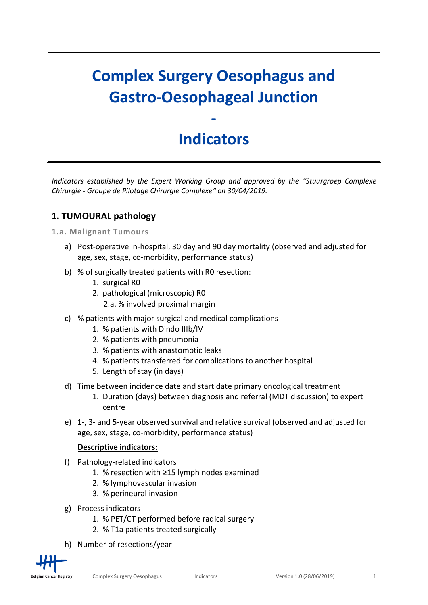# **Complex Surgery Oesophagus and Gastro-Oesophageal Junction**

## **Indicators**

**-**

*Indicators established by the Expert Working Group and approved by the "Stuurgroep Complexe Chirurgie - Groupe de Pilotage Chirurgie Complexe" on 30/04/2019.*

## **1. TUMOURAL pathology**

#### **1.a. Malignant Tumours**

- a) Post-operative in-hospital, 30 day and 90 day mortality (observed and adjusted for age, sex, stage, co-morbidity, performance status)
- b) % of surgically treated patients with R0 resection:
	- 1. surgical R0
	- 2. pathological (microscopic) R0
		- 2.a. % involved proximal margin
- c) % patients with major surgical and medical complications
	- 1. % patients with Dindo IIIb/IV
	- 2. % patients with pneumonia
	- 3. % patients with anastomotic leaks
	- 4. % patients transferred for complications to another hospital
	- 5. Length of stay (in days)
- d) Time between incidence date and start date primary oncological treatment
	- 1. Duration (days) between diagnosis and referral (MDT discussion) to expert centre
- e) 1-, 3- and 5-year observed survival and relative survival (observed and adjusted for age, sex, stage, co-morbidity, performance status)

#### **Descriptive indicators:**

- f) Pathology-related indicators
	- 1. % resection with ≥15 lymph nodes examined
	- 2. % lymphovascular invasion
	- 3. % perineural invasion
- g) Process indicators
	- 1. % PET/CT performed before radical surgery
	- 2. % T1a patients treated surgically
- h) Number of resections/year